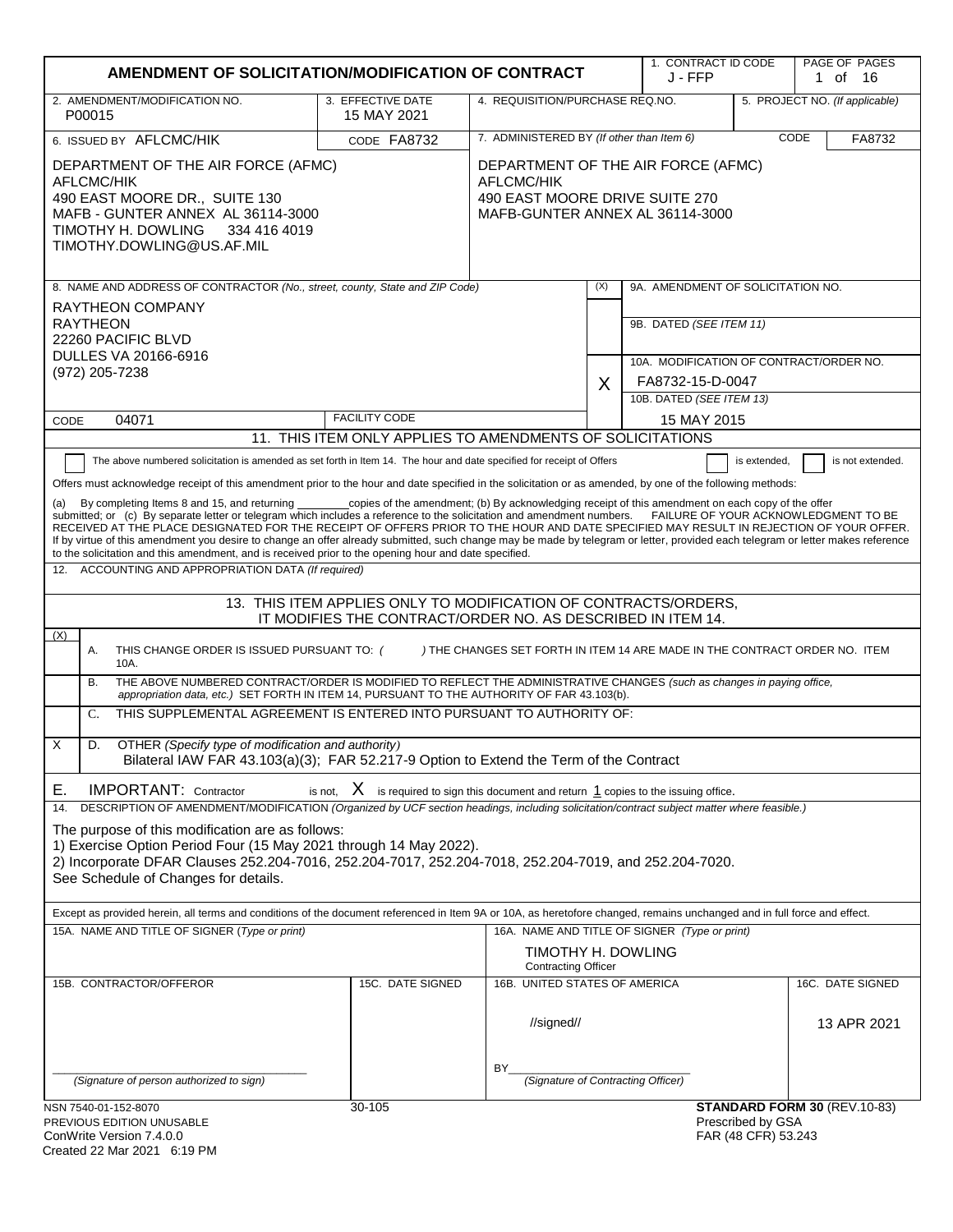| AMENDMENT OF SOLICITATION/MODIFICATION OF CONTRACT                                                                                                                                                                                                                                                                                                                                                                                                                                                                                                                                                                                                                                                                                                                                                                                                                                                                                                                                                                                                                                                                                                                                                                                                                                                                                                                                                                                                                                                                                                                                                                                                                                                                                                                                                                                                                                                             |                                                                                            |                                                                                                                              |     | 1. CONTRACT ID CODE<br>J - FFP                                     |                                          | PAGE OF PAGES<br>1 of 16        |
|----------------------------------------------------------------------------------------------------------------------------------------------------------------------------------------------------------------------------------------------------------------------------------------------------------------------------------------------------------------------------------------------------------------------------------------------------------------------------------------------------------------------------------------------------------------------------------------------------------------------------------------------------------------------------------------------------------------------------------------------------------------------------------------------------------------------------------------------------------------------------------------------------------------------------------------------------------------------------------------------------------------------------------------------------------------------------------------------------------------------------------------------------------------------------------------------------------------------------------------------------------------------------------------------------------------------------------------------------------------------------------------------------------------------------------------------------------------------------------------------------------------------------------------------------------------------------------------------------------------------------------------------------------------------------------------------------------------------------------------------------------------------------------------------------------------------------------------------------------------------------------------------------------------|--------------------------------------------------------------------------------------------|------------------------------------------------------------------------------------------------------------------------------|-----|--------------------------------------------------------------------|------------------------------------------|---------------------------------|
| 2. AMENDMENT/MODIFICATION NO.<br>P00015                                                                                                                                                                                                                                                                                                                                                                                                                                                                                                                                                                                                                                                                                                                                                                                                                                                                                                                                                                                                                                                                                                                                                                                                                                                                                                                                                                                                                                                                                                                                                                                                                                                                                                                                                                                                                                                                        | 3. EFFECTIVE DATE<br>15 MAY 2021                                                           | 4. REQUISITION/PURCHASE REQ.NO.                                                                                              |     |                                                                    |                                          | 5. PROJECT NO. (If applicable)  |
| 6. ISSUED BY AFLCMC/HIK                                                                                                                                                                                                                                                                                                                                                                                                                                                                                                                                                                                                                                                                                                                                                                                                                                                                                                                                                                                                                                                                                                                                                                                                                                                                                                                                                                                                                                                                                                                                                                                                                                                                                                                                                                                                                                                                                        | CODE FA8732                                                                                | 7. ADMINISTERED BY (If other than Item 6)                                                                                    |     |                                                                    |                                          | CODE<br>FA8732                  |
| DEPARTMENT OF THE AIR FORCE (AFMC)<br><b>AFLCMC/HIK</b><br>490 EAST MOORE DR., SUITE 130<br>MAFB - GUNTER ANNEX AL 36114-3000<br>TIMOTHY H. DOWLING<br>334 416 4019<br>TIMOTHY.DOWLING@US.AF.MIL                                                                                                                                                                                                                                                                                                                                                                                                                                                                                                                                                                                                                                                                                                                                                                                                                                                                                                                                                                                                                                                                                                                                                                                                                                                                                                                                                                                                                                                                                                                                                                                                                                                                                                               |                                                                                            | DEPARTMENT OF THE AIR FORCE (AFMC)<br><b>AFLCMC/HIK</b><br>490 EAST MOORE DRIVE SUITE 270<br>MAFB-GUNTER ANNEX AL 36114-3000 |     |                                                                    |                                          |                                 |
| 8. NAME AND ADDRESS OF CONTRACTOR (No., street, county, State and ZIP Code)                                                                                                                                                                                                                                                                                                                                                                                                                                                                                                                                                                                                                                                                                                                                                                                                                                                                                                                                                                                                                                                                                                                                                                                                                                                                                                                                                                                                                                                                                                                                                                                                                                                                                                                                                                                                                                    |                                                                                            |                                                                                                                              | (X) | 9A. AMENDMENT OF SOLICITATION NO.                                  |                                          |                                 |
| RAYTHEON COMPANY<br><b>RAYTHEON</b><br>22260 PACIFIC BLVD<br>DULLES VA 20166-6916                                                                                                                                                                                                                                                                                                                                                                                                                                                                                                                                                                                                                                                                                                                                                                                                                                                                                                                                                                                                                                                                                                                                                                                                                                                                                                                                                                                                                                                                                                                                                                                                                                                                                                                                                                                                                              |                                                                                            |                                                                                                                              |     | 9B. DATED (SEE ITEM 11)<br>10A. MODIFICATION OF CONTRACT/ORDER NO. |                                          |                                 |
| (972) 205-7238                                                                                                                                                                                                                                                                                                                                                                                                                                                                                                                                                                                                                                                                                                                                                                                                                                                                                                                                                                                                                                                                                                                                                                                                                                                                                                                                                                                                                                                                                                                                                                                                                                                                                                                                                                                                                                                                                                 |                                                                                            |                                                                                                                              | X   | FA8732-15-D-0047                                                   |                                          |                                 |
|                                                                                                                                                                                                                                                                                                                                                                                                                                                                                                                                                                                                                                                                                                                                                                                                                                                                                                                                                                                                                                                                                                                                                                                                                                                                                                                                                                                                                                                                                                                                                                                                                                                                                                                                                                                                                                                                                                                | <b>FACILITY CODE</b>                                                                       |                                                                                                                              |     | 10B. DATED (SEE ITEM 13)                                           |                                          |                                 |
| 04071<br>CODE                                                                                                                                                                                                                                                                                                                                                                                                                                                                                                                                                                                                                                                                                                                                                                                                                                                                                                                                                                                                                                                                                                                                                                                                                                                                                                                                                                                                                                                                                                                                                                                                                                                                                                                                                                                                                                                                                                  | 11. THIS ITEM ONLY APPLIES TO AMENDMENTS OF SOLICITATIONS                                  |                                                                                                                              |     | 15 MAY 2015                                                        |                                          |                                 |
| The above numbered solicitation is amended as set forth in Item 14. The hour and date specified for receipt of Offers<br>is not extended.<br>is extended,<br>Offers must acknowledge receipt of this amendment prior to the hour and date specified in the solicitation or as amended, by one of the following methods:<br>_copies of the amendment; (b) By acknowledging receipt of this amendment on each copy of the offer<br>By completing Items 8 and 15, and returning<br>(a)<br>submitted; or (c) By separate letter or telegram which includes a reference to the solicitation and amendment numbers. FAILURE OF YOUR ACKNOWLEDGMENT TO BE<br>RECEIVED AT THE PLACE DESIGNATED FOR THE RECEIPT OF OFFERS PRIOR TO THE HOUR AND DATE SPECIFIED MAY RESULT IN REJECTION OF YOUR OFFER.<br>If by virtue of this amendment you desire to change an offer already submitted, such change may be made by telegram or letter, provided each telegram or letter makes reference<br>to the solicitation and this amendment, and is received prior to the opening hour and date specified.<br>ACCOUNTING AND APPROPRIATION DATA (If required)<br>12.<br>13. THIS ITEM APPLIES ONLY TO MODIFICATION OF CONTRACTS/ORDERS,<br>IT MODIFIES THE CONTRACT/ORDER NO. AS DESCRIBED IN ITEM 14.<br>(X)<br>) THE CHANGES SET FORTH IN ITEM 14 ARE MADE IN THE CONTRACT ORDER NO. ITEM<br>Α.<br>THIS CHANGE ORDER IS ISSUED PURSUANT TO: (<br>10A.<br>THE ABOVE NUMBERED CONTRACT/ORDER IS MODIFIED TO REFLECT THE ADMINISTRATIVE CHANGES (such as changes in paying office,<br>В.<br>appropriation data, etc.) SET FORTH IN ITEM 14, PURSUANT TO THE AUTHORITY OF FAR 43.103(b).<br>THIS SUPPLEMENTAL AGREEMENT IS ENTERED INTO PURSUANT TO AUTHORITY OF:<br>C.<br>X<br>OTHER (Specify type of modification and authority)<br>D.<br>Bilateral IAW FAR 43.103(a)(3); FAR 52.217-9 Option to Extend the Term of the Contract |                                                                                            |                                                                                                                              |     |                                                                    |                                          |                                 |
| <b>IMPORTANT: Contractor</b><br>Е.<br>DESCRIPTION OF AMENDMENT/MODIFICATION (Organized by UCF section headings, including solicitation/contract subject matter where feasible.)<br>14.<br>The purpose of this modification are as follows:<br>1) Exercise Option Period Four (15 May 2021 through 14 May 2022).<br>2) Incorporate DFAR Clauses 252.204-7016, 252.204-7017, 252.204-7018, 252.204-7019, and 252.204-7020.<br>See Schedule of Changes for details.<br>Except as provided herein, all terms and conditions of the document referenced in Item 9A or 10A, as heretofore changed, remains unchanged and in full force and effect.<br>15A. NAME AND TITLE OF SIGNER (Type or print)                                                                                                                                                                                                                                                                                                                                                                                                                                                                                                                                                                                                                                                                                                                                                                                                                                                                                                                                                                                                                                                                                                                                                                                                                  | is not, $X$ is required to sign this document and return $1$ copies to the issuing office. |                                                                                                                              |     | 16A. NAME AND TITLE OF SIGNER (Type or print)                      |                                          |                                 |
|                                                                                                                                                                                                                                                                                                                                                                                                                                                                                                                                                                                                                                                                                                                                                                                                                                                                                                                                                                                                                                                                                                                                                                                                                                                                                                                                                                                                                                                                                                                                                                                                                                                                                                                                                                                                                                                                                                                |                                                                                            | TIMOTHY H. DOWLING<br><b>Contracting Officer</b>                                                                             |     |                                                                    |                                          |                                 |
| 15B. CONTRACTOR/OFFEROR                                                                                                                                                                                                                                                                                                                                                                                                                                                                                                                                                                                                                                                                                                                                                                                                                                                                                                                                                                                                                                                                                                                                                                                                                                                                                                                                                                                                                                                                                                                                                                                                                                                                                                                                                                                                                                                                                        | 15C. DATE SIGNED                                                                           | 16B. UNITED STATES OF AMERICA<br>//signed//                                                                                  |     |                                                                    |                                          | 16C. DATE SIGNED<br>13 APR 2021 |
| (Signature of person authorized to sign)                                                                                                                                                                                                                                                                                                                                                                                                                                                                                                                                                                                                                                                                                                                                                                                                                                                                                                                                                                                                                                                                                                                                                                                                                                                                                                                                                                                                                                                                                                                                                                                                                                                                                                                                                                                                                                                                       |                                                                                            | BY.<br>(Signature of Contracting Officer)                                                                                    |     |                                                                    |                                          |                                 |
| NSN 7540-01-152-8070<br>PREVIOUS EDITION UNUSABLE<br>ConWrite Version $7400$                                                                                                                                                                                                                                                                                                                                                                                                                                                                                                                                                                                                                                                                                                                                                                                                                                                                                                                                                                                                                                                                                                                                                                                                                                                                                                                                                                                                                                                                                                                                                                                                                                                                                                                                                                                                                                   | 30-105                                                                                     |                                                                                                                              |     |                                                                    | Prescribed by GSA<br>FAR (48 CFR) 53 243 | STANDARD FORM 30 (REV.10-83)    |

| ConWrite Version 7.4.0.0    |  |
|-----------------------------|--|
| Created 22 Mar 2021 6:19 PM |  |

FAR (48 CFR) 53.243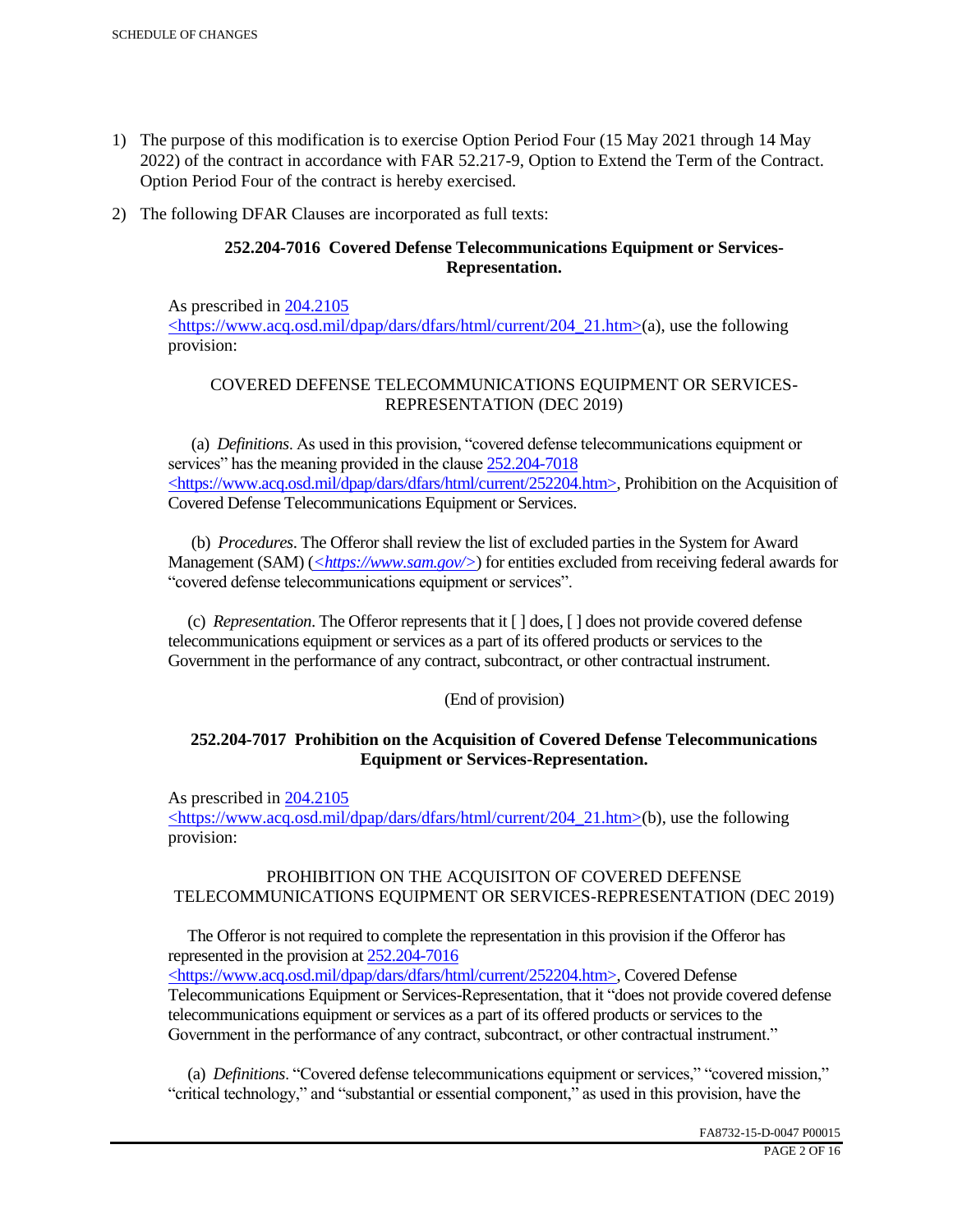- 1) The purpose of this modification is to exercise Option Period Four (15 May 2021 through 14 May 2022) of the contract in accordance with FAR 52.217-9, Option to Extend the Term of the Contract. Option Period Four of the contract is hereby exercised.
- 2) The following DFAR Clauses are incorporated as full texts:

## **252.204-7016 Covered Defense Telecommunications Equipment or Services-Representation.**

As prescribed in 204.2105 <https://www.acq.osd.mil/dpap/dars/dfars/html/current/204\_21.htm>(a), use the following provision:

# COVERED DEFENSE TELECOMMUNICATIONS EQUIPMENT OR SERVICES-REPRESENTATION (DEC 2019)

 (a) *Definitions*. As used in this provision, "covered defense telecommunications equipment or services" has the meaning provided in the clause  $252.204 - 7018$ <https://www.acq.osd.mil/dpap/dars/dfars/html/current/252204.htm>, Prohibition on the Acquisition of Covered Defense Telecommunications Equipment or Services.

 (b) *Procedures*. The Offeror shall review the list of excluded parties in the System for Award Management (SAM) (*<https://www.sam.gov/>*) for entities excluded from receiving federal awards for "covered defense telecommunications equipment or services".

 (c) *Representation*. The Offeror represents that it [ ] does, [ ] does not provide covered defense telecommunications equipment or services as a part of its offered products or services to the Government in the performance of any contract, subcontract, or other contractual instrument.

## (End of provision)

## **252.204-7017 Prohibition on the Acquisition of Covered Defense Telecommunications Equipment or Services-Representation.**

As prescribed in 204.2105

<https://www.acq.osd.mil/dpap/dars/dfars/html/current/204\_21.htm>(b), use the following provision:

## PROHIBITION ON THE ACQUISITON OF COVERED DEFENSE TELECOMMUNICATIONS EQUIPMENT OR SERVICES-REPRESENTATION (DEC 2019)

 The Offeror is not required to complete the representation in this provision if the Offeror has represented in the provision at 252.204-7016

<https://www.acq.osd.mil/dpap/dars/dfars/html/current/252204.htm>, Covered Defense Telecommunications Equipment or Services-Representation, that it "does not provide covered defense telecommunications equipment or services as a part of its offered products or services to the Government in the performance of any contract, subcontract, or other contractual instrument."

 (a) *Definitions*. "Covered defense telecommunications equipment or services," "covered mission," "critical technology," and "substantial or essential component," as used in this provision, have the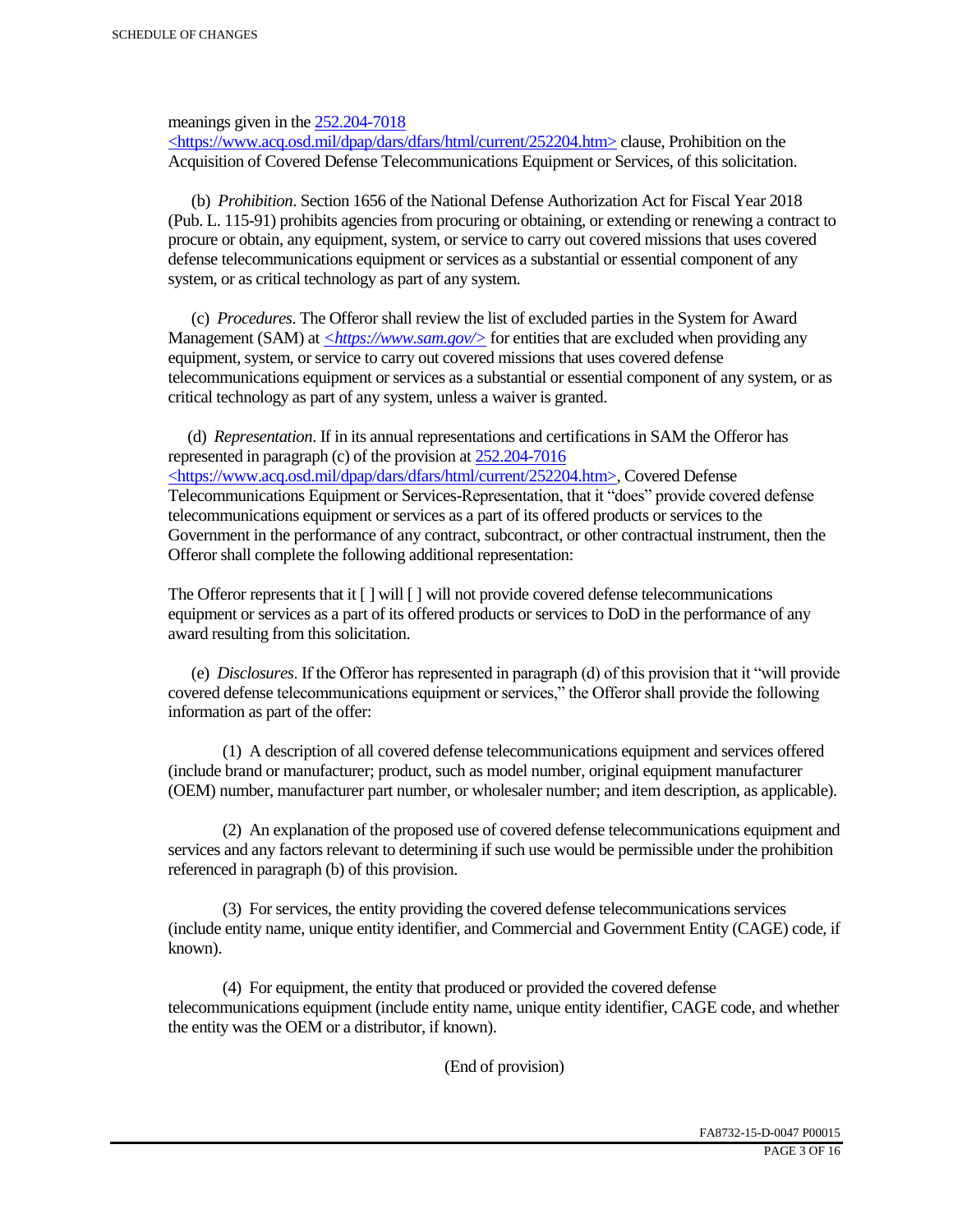meanings given in the 252.204-7018

 $\langle$ https://www.acq.osd.mil/dpap/dars/dfars/html/current/252204.htm> clause, Prohibition on the Acquisition of Covered Defense Telecommunications Equipment or Services, of this solicitation.

 (b) *Prohibition*. Section 1656 of the National Defense Authorization Act for Fiscal Year 2018 (Pub. L. 115-91) prohibits agencies from procuring or obtaining, or extending or renewing a contract to procure or obtain, any equipment, system, or service to carry out covered missions that uses covered defense telecommunications equipment or services as a substantial or essential component of any system, or as critical technology as part of any system.

 (c) *Procedures*. The Offeror shall review the list of excluded parties in the System for Award Management (SAM) at  $\leq$ https://www.sam.gov/> for entities that are excluded when providing any equipment, system, or service to carry out covered missions that uses covered defense telecommunications equipment or services as a substantial or essential component of any system, or as critical technology as part of any system, unless a waiver is granted.

 (d) *Representation*. If in its annual representations and certifications in SAM the Offeror has represented in paragraph (c) of the provision at 252.204-7016 <https://www.acq.osd.mil/dpap/dars/dfars/html/current/252204.htm>, Covered Defense Telecommunications Equipment or Services-Representation, that it "does" provide covered defense telecommunications equipment or services as a part of its offered products or services to the Government in the performance of any contract, subcontract, or other contractual instrument, then the Offeror shall complete the following additional representation:

The Offeror represents that it  $\lceil \cdot \rceil$  will  $\lceil \cdot \rceil$  will not provide covered defense telecommunications equipment or services as a part of its offered products or services to DoD in the performance of any award resulting from this solicitation.

 (e) *Disclosures*. If the Offeror has represented in paragraph (d) of this provision that it "will provide covered defense telecommunications equipment or services," the Offeror shall provide the following information as part of the offer:

 (1) A description of all covered defense telecommunications equipment and services offered (include brand or manufacturer; product, such as model number, original equipment manufacturer (OEM) number, manufacturer part number, or wholesaler number; and item description, as applicable).

 (2) An explanation of the proposed use of covered defense telecommunications equipment and services and any factors relevant to determining if such use would be permissible under the prohibition referenced in paragraph (b) of this provision.

 (3) For services, the entity providing the covered defense telecommunications services (include entity name, unique entity identifier, and Commercial and Government Entity (CAGE) code, if known).

 (4) For equipment, the entity that produced or provided the covered defense telecommunications equipment (include entity name, unique entity identifier, CAGE code, and whether the entity was the OEM or a distributor, if known).

(End of provision)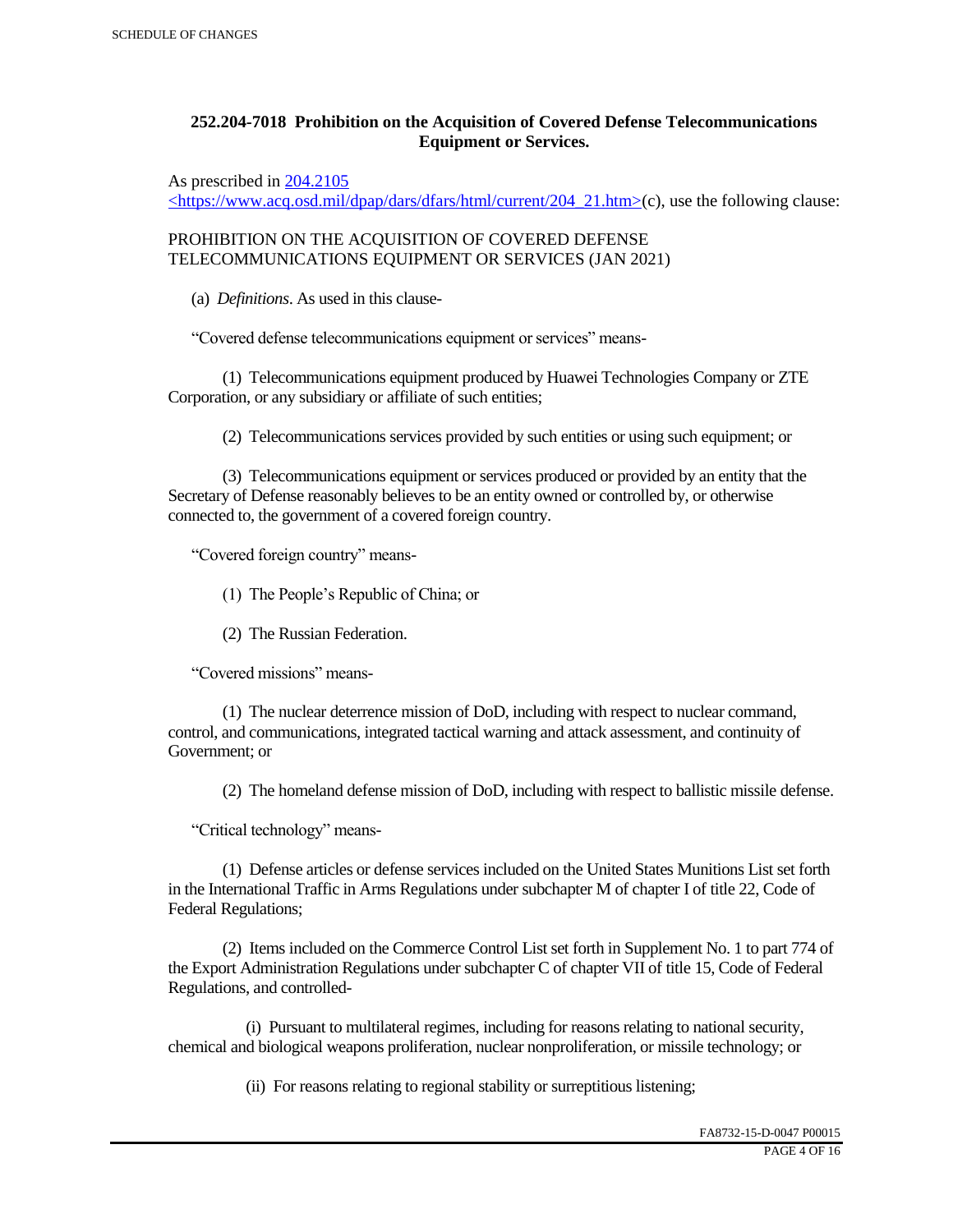## **252.204-7018 Prohibition on the Acquisition of Covered Defense Telecommunications Equipment or Services.**

As prescribed in 204.2105

 $\langle$ https://www.acq.osd.mil/dpap/dars/dfars/html/current/204\_21.htm>(c), use the following clause:

PROHIBITION ON THE ACQUISITION OF COVERED DEFENSE TELECOMMUNICATIONS EQUIPMENT OR SERVICES (JAN 2021)

(a) *Definitions*. As used in this clause-

"Covered defense telecommunications equipment or services" means-

 (1) Telecommunications equipment produced by Huawei Technologies Company or ZTE Corporation, or any subsidiary or affiliate of such entities;

(2) Telecommunications services provided by such entities or using such equipment; or

 (3) Telecommunications equipment or services produced or provided by an entity that the Secretary of Defense reasonably believes to be an entity owned or controlled by, or otherwise connected to, the government of a covered foreign country.

"Covered foreign country" means-

(1) The People's Republic of China; or

(2) The Russian Federation.

"Covered missions" means-

 (1) The nuclear deterrence mission of DoD, including with respect to nuclear command, control, and communications, integrated tactical warning and attack assessment, and continuity of Government; or

(2) The homeland defense mission of DoD, including with respect to ballistic missile defense.

"Critical technology" means-

 (1) Defense articles or defense services included on the United States Munitions List set forth in the International Traffic in Arms Regulations under subchapter M of chapter I of title 22, Code of Federal Regulations;

 (2) Items included on the Commerce Control List set forth in Supplement No. 1 to part 774 of the Export Administration Regulations under subchapter C of chapter VII of title 15, Code of Federal Regulations, and controlled-

 (i) Pursuant to multilateral regimes, including for reasons relating to national security, chemical and biological weapons proliferation, nuclear nonproliferation, or missile technology; or

(ii) For reasons relating to regional stability or surreptitious listening;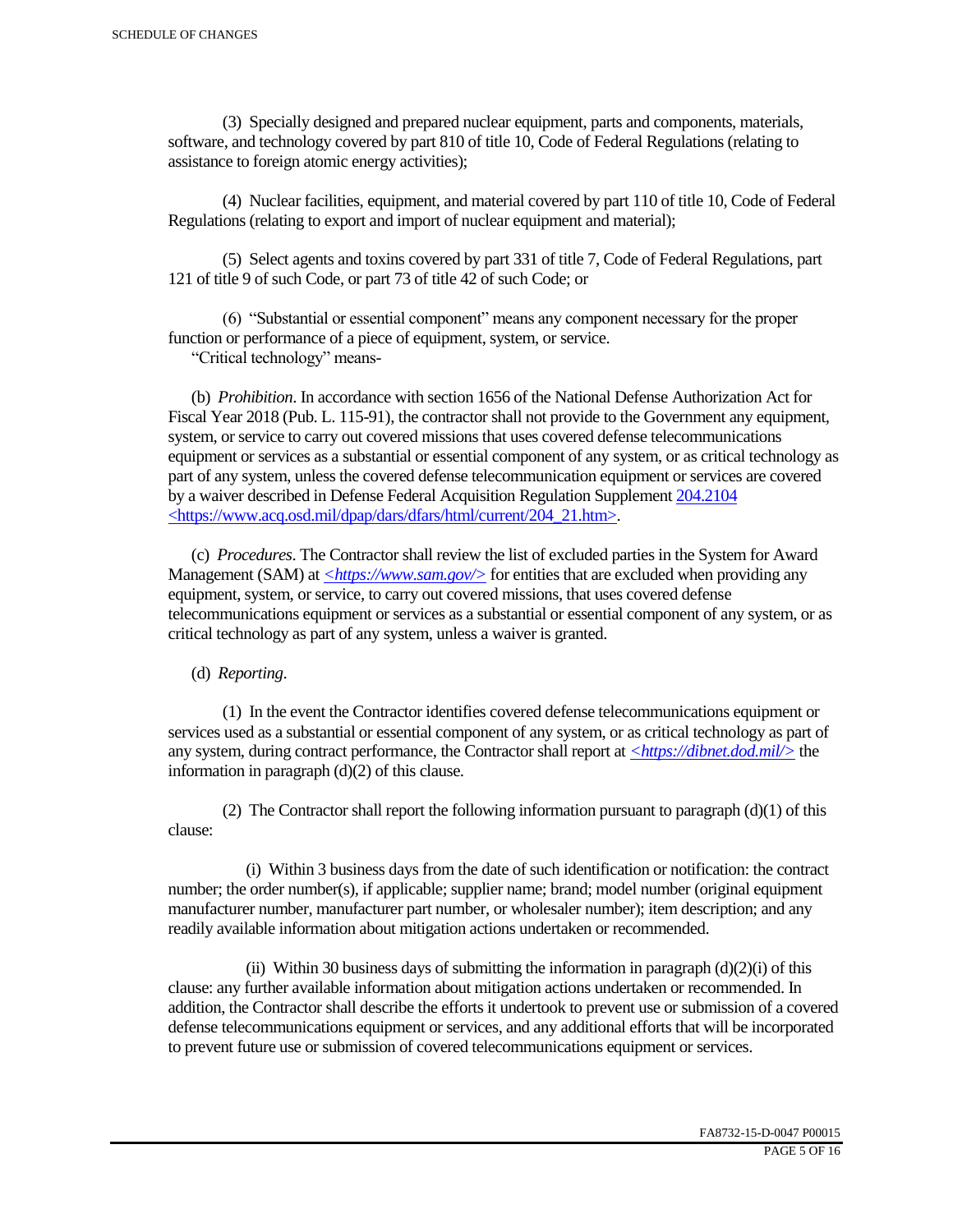(3) Specially designed and prepared nuclear equipment, parts and components, materials, software, and technology covered by part 810 of title 10, Code of Federal Regulations (relating to assistance to foreign atomic energy activities);

 (4) Nuclear facilities, equipment, and material covered by part 110 of title 10, Code of Federal Regulations (relating to export and import of nuclear equipment and material);

 (5) Select agents and toxins covered by part 331 of title 7, Code of Federal Regulations, part 121 of title 9 of such Code, or part 73 of title 42 of such Code; or

 (6) "Substantial or essential component" means any component necessary for the proper function or performance of a piece of equipment, system, or service.

"Critical technology" means-

 (b) *Prohibition*. In accordance with section 1656 of the National Defense Authorization Act for Fiscal Year 2018 (Pub. L. 115-91), the contractor shall not provide to the Government any equipment, system, or service to carry out covered missions that uses covered defense telecommunications equipment or services as a substantial or essential component of any system, or as critical technology as part of any system, unless the covered defense telecommunication equipment or services are covered by a waiver described in Defense Federal Acquisition Regulation Supplement 204.2104 <https://www.acq.osd.mil/dpap/dars/dfars/html/current/204\_21.htm>.

 (c) *Procedures*. The Contractor shall review the list of excluded parties in the System for Award Management (SAM) at  $\langle \frac{https://www.sam.gov/}{>}$  for entities that are excluded when providing any equipment, system, or service, to carry out covered missions, that uses covered defense telecommunications equipment or services as a substantial or essential component of any system, or as critical technology as part of any system, unless a waiver is granted.

(d) *Reporting*.

 (1) In the event the Contractor identifies covered defense telecommunications equipment or services used as a substantial or essential component of any system, or as critical technology as part of any system, during contract performance, the Contractor shall report at *<https://dibnet.dod.mil/>* the information in paragraph (d)(2) of this clause.

(2) The Contractor shall report the following information pursuant to paragraph  $(d)(1)$  of this clause:

 (i) Within 3 business days from the date of such identification or notification: the contract number; the order number(s), if applicable; supplier name; brand; model number (original equipment manufacturer number, manufacturer part number, or wholesaler number); item description; and any readily available information about mitigation actions undertaken or recommended.

(ii) Within 30 business days of submitting the information in paragraph  $(d)(2)(i)$  of this clause: any further available information about mitigation actions undertaken or recommended. In addition, the Contractor shall describe the efforts it undertook to prevent use or submission of a covered defense telecommunications equipment or services, and any additional efforts that will be incorporated to prevent future use or submission of covered telecommunications equipment or services.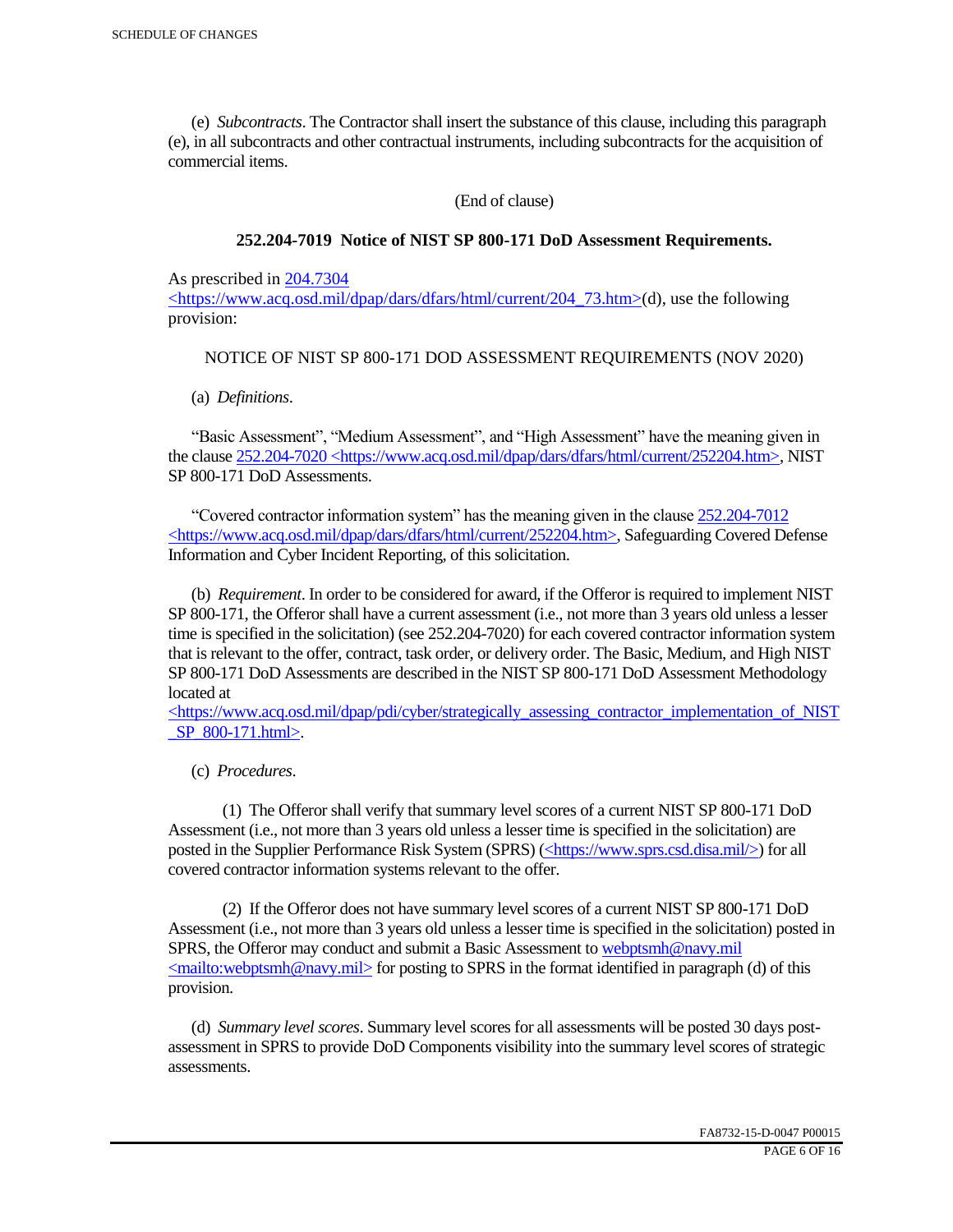(e) *Subcontracts*. The Contractor shall insert the substance of this clause, including this paragraph (e), in all subcontracts and other contractual instruments, including subcontracts for the acquisition of commercial items.

(End of clause)

#### **252.204-7019 Notice of NIST SP 800-171 DoD Assessment Requirements.**

As prescribed in 204.7304

 $\langle$ https://www.acq.osd.mil/dpap/dars/dfars/html/current/204 73.htm>(d), use the following provision:

#### NOTICE OF NIST SP 800-171 DOD ASSESSMENT REQUIREMENTS (NOV 2020)

(a) *Definitions*.

 "Basic Assessment", "Medium Assessment", and "High Assessment" have the meaning given in the clause 252.204-7020 <https://www.acq.osd.mil/dpap/dars/dfars/html/current/252204.htm>, NIST SP 800-171 DoD Assessments.

 "Covered contractor information system" has the meaning given in the clause 252.204-7012 <https://www.acq.osd.mil/dpap/dars/dfars/html/current/252204.htm>, Safeguarding Covered Defense Information and Cyber Incident Reporting, of this solicitation.

 (b) *Requirement*. In order to be considered for award, if the Offeror is required to implement NIST SP 800-171, the Offeror shall have a current assessment (i.e., not more than 3 years old unless a lesser time is specified in the solicitation) (see 252.204-7020) for each covered contractor information system that is relevant to the offer, contract, task order, or delivery order. The Basic, Medium, and High NIST SP 800-171 DoD Assessments are described in the NIST SP 800-171 DoD Assessment Methodology located at

 $\langle$ https://www.acq.osd.mil/dpap/pdi/cyber/strategically\_assessing\_contractor\_implementation\_of\_NIST \_SP\_800-171.html>.

(c) *Procedures*.

 (1) The Offeror shall verify that summary level scores of a current NIST SP 800-171 DoD Assessment (i.e., not more than 3 years old unless a lesser time is specified in the solicitation) are posted in the Supplier Performance Risk System (SPRS) (<https://www.sprs.csd.disa.mil/>) for all covered contractor information systems relevant to the offer.

 (2) If the Offeror does not have summary level scores of a current NIST SP 800-171 DoD Assessment (i.e., not more than 3 years old unless a lesser time is specified in the solicitation) posted in SPRS, the Offeror may conduct and submit a Basic Assessment to webptsmh@navy.mil  $\leq$ mailto:webptsmh@navy.mil> for posting to SPRS in the format identified in paragraph (d) of this provision.

 (d) *Summary level scores*. Summary level scores for all assessments will be posted 30 days postassessment in SPRS to provide DoD Components visibility into the summary level scores of strategic assessments.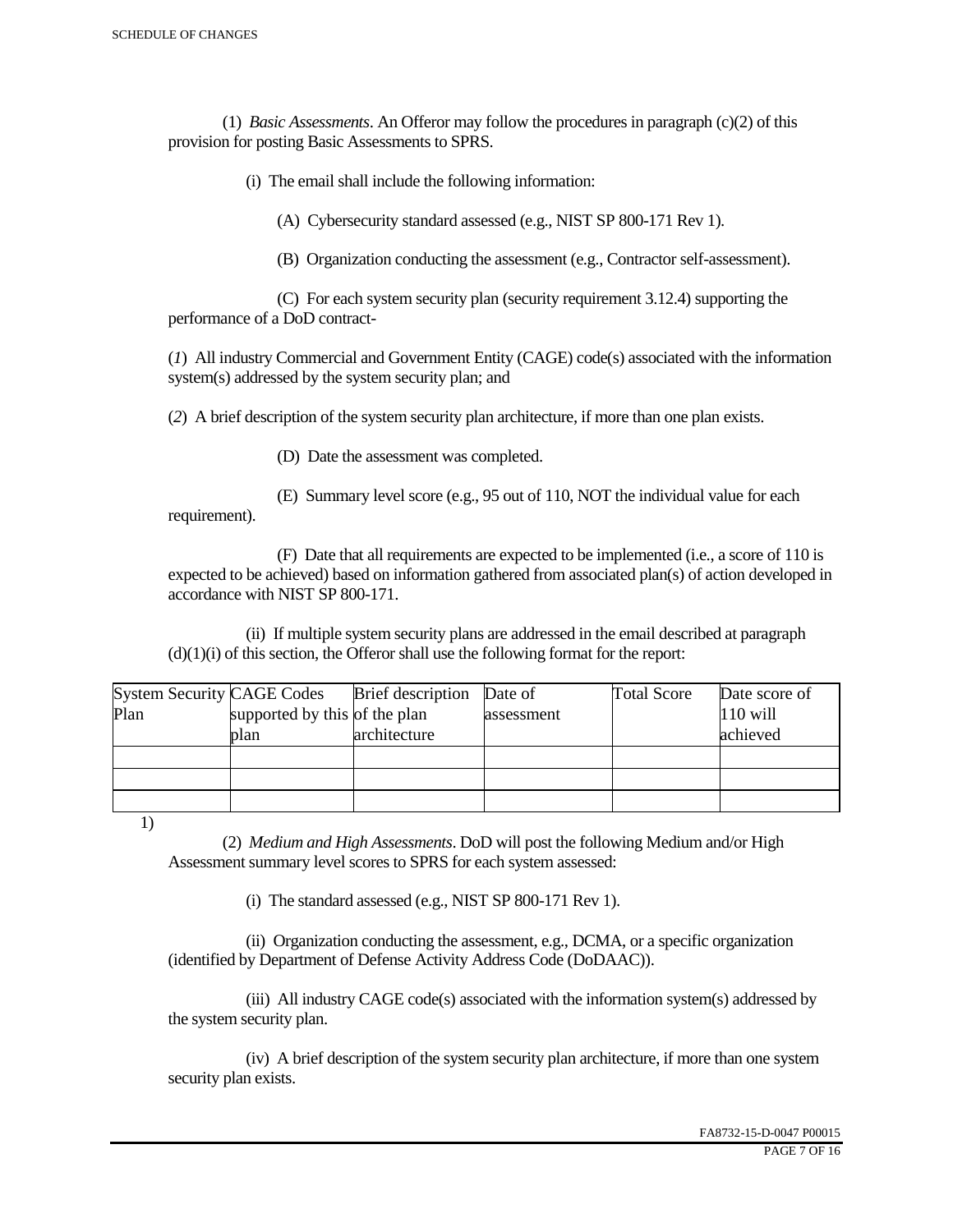(1) *Basic Assessments*. An Offeror may follow the procedures in paragraph (c)(2) of this provision for posting Basic Assessments to SPRS.

(i) The email shall include the following information:

(A) Cybersecurity standard assessed (e.g., NIST SP 800-171 Rev 1).

(B) Organization conducting the assessment (e.g., Contractor self-assessment).

 (C) For each system security plan (security requirement 3.12.4) supporting the performance of a DoD contract-

(*1*) All industry Commercial and Government Entity (CAGE) code(s) associated with the information system(s) addressed by the system security plan; and

(*2*) A brief description of the system security plan architecture, if more than one plan exists.

(D) Date the assessment was completed.

 (E) Summary level score (e.g., 95 out of 110, NOT the individual value for each requirement).

 (F) Date that all requirements are expected to be implemented (i.e., a score of 110 is expected to be achieved) based on information gathered from associated plan(s) of action developed in accordance with NIST SP 800-171.

 (ii) If multiple system security plans are addressed in the email described at paragraph  $(d)(1)(i)$  of this section, the Offeror shall use the following format for the report:

| <b>System Security CAGE Codes</b> |                               | <b>Brief</b> description | Date of    | <b>Total Score</b> | Date score of |
|-----------------------------------|-------------------------------|--------------------------|------------|--------------------|---------------|
| Plan                              | supported by this of the plan |                          | assessment |                    | $110$ will    |
|                                   | plan                          | architecture             |            |                    | achieved      |
|                                   |                               |                          |            |                    |               |
|                                   |                               |                          |            |                    |               |
|                                   |                               |                          |            |                    |               |

1)

 (2) *Medium and High Assessments*. DoD will post the following Medium and/or High Assessment summary level scores to SPRS for each system assessed:

(i) The standard assessed (e.g., NIST SP 800-171 Rev 1).

 (ii) Organization conducting the assessment, e.g., DCMA, or a specific organization (identified by Department of Defense Activity Address Code (DoDAAC)).

 (iii) All industry CAGE code(s) associated with the information system(s) addressed by the system security plan.

 (iv) A brief description of the system security plan architecture, if more than one system security plan exists.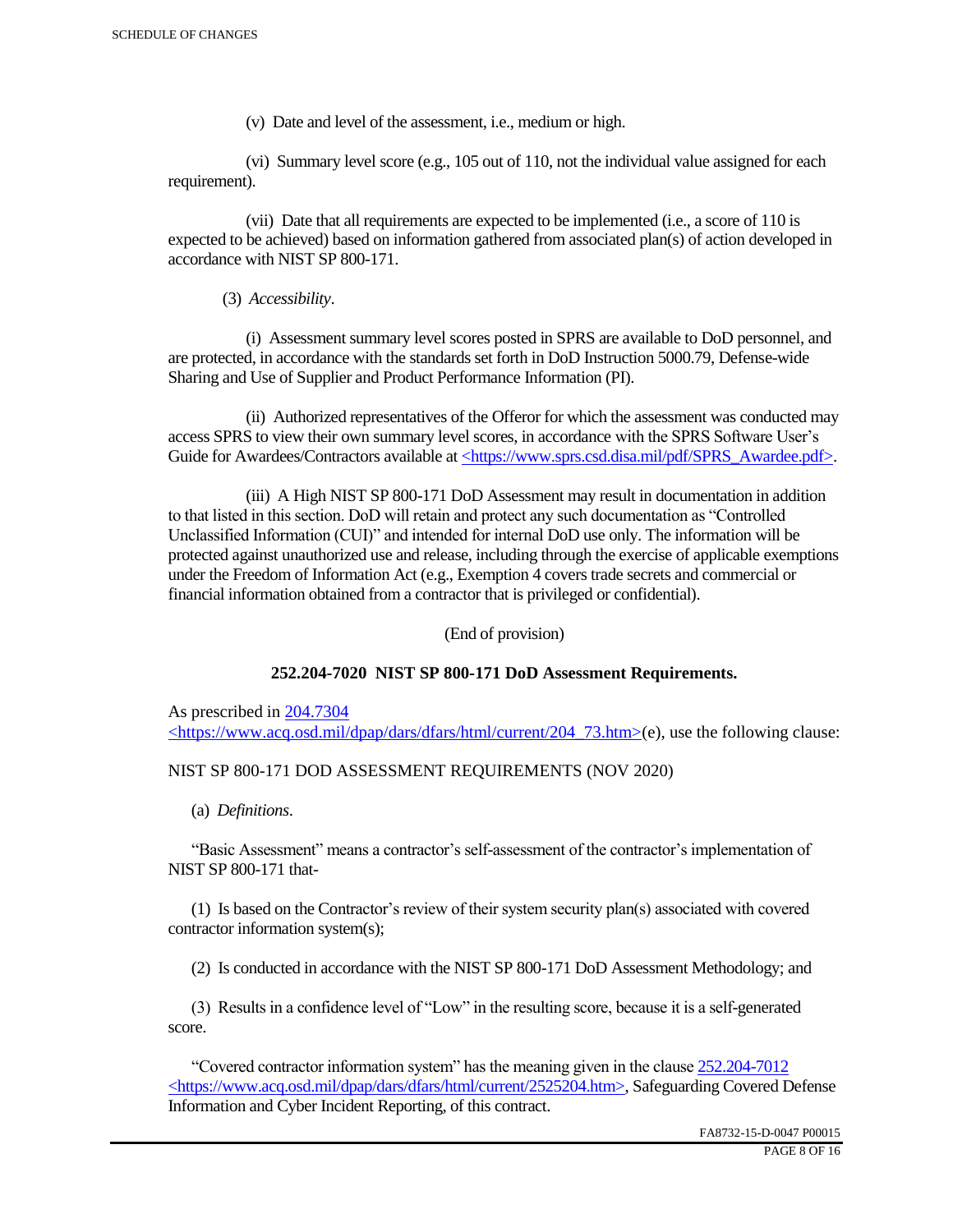(v) Date and level of the assessment, i.e., medium or high.

 (vi) Summary level score (e.g., 105 out of 110, not the individual value assigned for each requirement).

 (vii) Date that all requirements are expected to be implemented (i.e., a score of 110 is expected to be achieved) based on information gathered from associated plan(s) of action developed in accordance with NIST SP 800-171.

(3) *Accessibility*.

 (i) Assessment summary level scores posted in SPRS are available to DoD personnel, and are protected, in accordance with the standards set forth in DoD Instruction 5000.79, Defense-wide Sharing and Use of Supplier and Product Performance Information (PI).

 (ii) Authorized representatives of the Offeror for which the assessment was conducted may access SPRS to view their own summary level scores, in accordance with the SPRS Software User's Guide for Awardees/Contractors available at <https://www.sprs.csd.disa.mil/pdf/SPRS\_Awardee.pdf>.

 (iii) A High NIST SP 800-171 DoD Assessment may result in documentation in addition to that listed in this section. DoD will retain and protect any such documentation as "Controlled Unclassified Information (CUI)" and intended for internal DoD use only. The information will be protected against unauthorized use and release, including through the exercise of applicable exemptions under the Freedom of Information Act (e.g., Exemption 4 covers trade secrets and commercial or financial information obtained from a contractor that is privileged or confidential).

(End of provision)

## **252.204-7020 NIST SP 800-171 DoD Assessment Requirements.**

As prescribed in 204.7304 <https://www.acq.osd.mil/dpap/dars/dfars/html/current/204\_73.htm>(e), use the following clause:

## NIST SP 800-171 DOD ASSESSMENT REQUIREMENTS (NOV 2020)

(a) *Definitions*.

 "Basic Assessment" means a contractor's self-assessment of the contractor's implementation of NIST SP 800-171 that-

 (1) Is based on the Contractor's review of their system security plan(s) associated with covered contractor information system(s);

(2) Is conducted in accordance with the NIST SP 800-171 DoD Assessment Methodology; and

 (3) Results in a confidence level of "Low" in the resulting score, because it is a self-generated score.

 "Covered contractor information system" has the meaning given in the clause 252.204-7012 <https://www.acq.osd.mil/dpap/dars/dfars/html/current/2525204.htm>, Safeguarding Covered Defense Information and Cyber Incident Reporting, of this contract.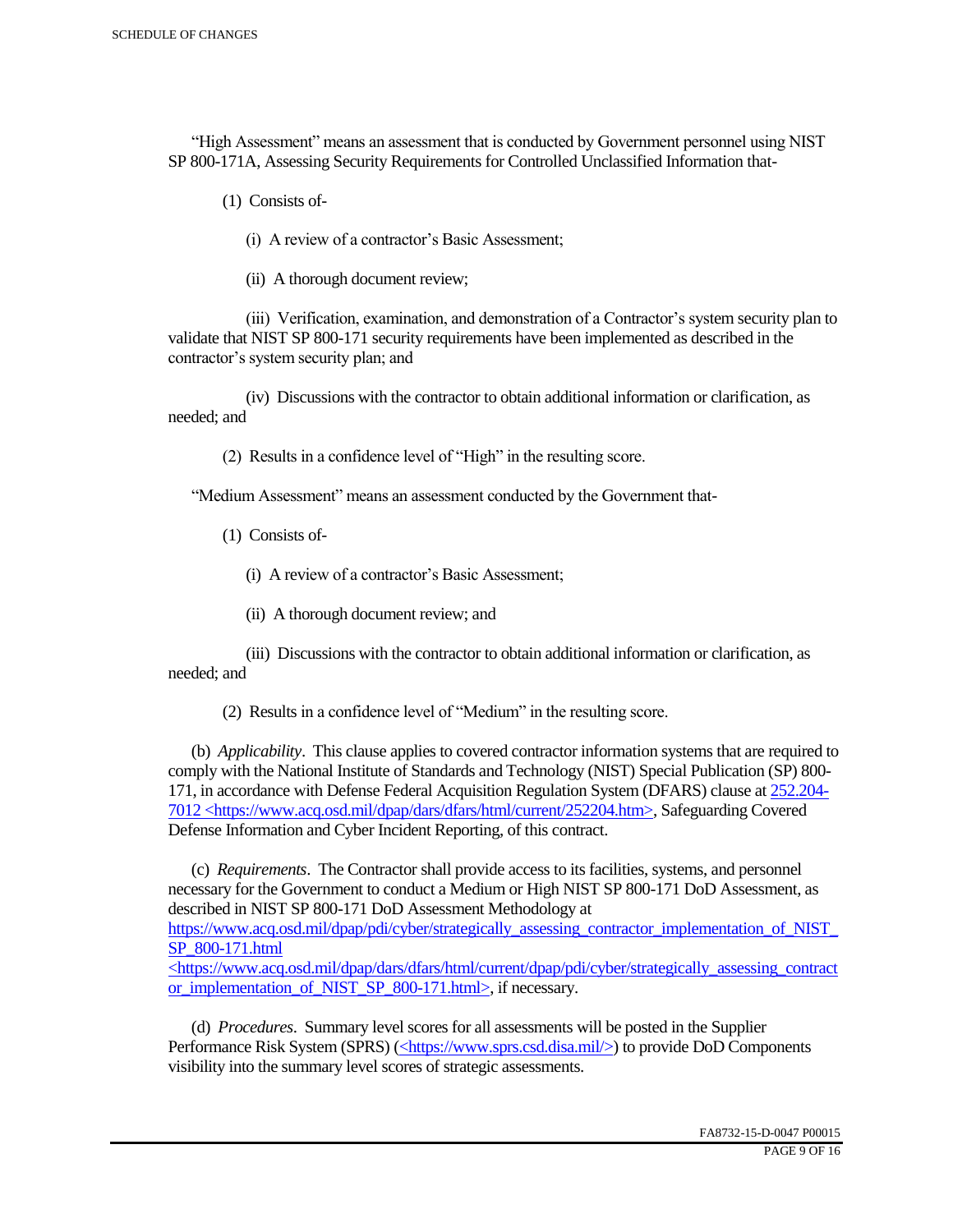"High Assessment" means an assessment that is conducted by Government personnel using NIST SP 800-171A, Assessing Security Requirements for Controlled Unclassified Information that-

(1) Consists of-

(i) A review of a contractor's Basic Assessment;

(ii) A thorough document review;

 (iii) Verification, examination, and demonstration of a Contractor's system security plan to validate that NIST SP 800-171 security requirements have been implemented as described in the contractor's system security plan; and

 (iv) Discussions with the contractor to obtain additional information or clarification, as needed; and

(2) Results in a confidence level of "High" in the resulting score.

"Medium Assessment" means an assessment conducted by the Government that-

(1) Consists of-

(i) A review of a contractor's Basic Assessment;

(ii) A thorough document review; and

 (iii) Discussions with the contractor to obtain additional information or clarification, as needed; and

(2) Results in a confidence level of "Medium" in the resulting score.

 (b) *Applicability*. This clause applies to covered contractor information systems that are required to comply with the National Institute of Standards and Technology (NIST) Special Publication (SP) 800- 171, in accordance with Defense Federal Acquisition Regulation System (DFARS) clause at 252.204- 7012 <https://www.acq.osd.mil/dpap/dars/dfars/html/current/252204.htm>, Safeguarding Covered Defense Information and Cyber Incident Reporting, of this contract.

 (c) *Requirements*. The Contractor shall provide access to its facilities, systems, and personnel necessary for the Government to conduct a Medium or High NIST SP 800-171 DoD Assessment, as described in NIST SP 800-171 DoD Assessment Methodology at https://www.acq.osd.mil/dpap/pdi/cyber/strategically\_assessing\_contractor\_implementation\_of\_NIST\_ SP\_800-171.html <https://www.acq.osd.mil/dpap/dars/dfars/html/current/dpap/pdi/cyber/strategically\_assessing\_contract

or implementation of NIST SP 800-171.html>, if necessary.

 (d) *Procedures*. Summary level scores for all assessments will be posted in the Supplier Performance Risk System (SPRS) (<https://www.sprs.csd.disa.mil/>) to provide DoD Components visibility into the summary level scores of strategic assessments.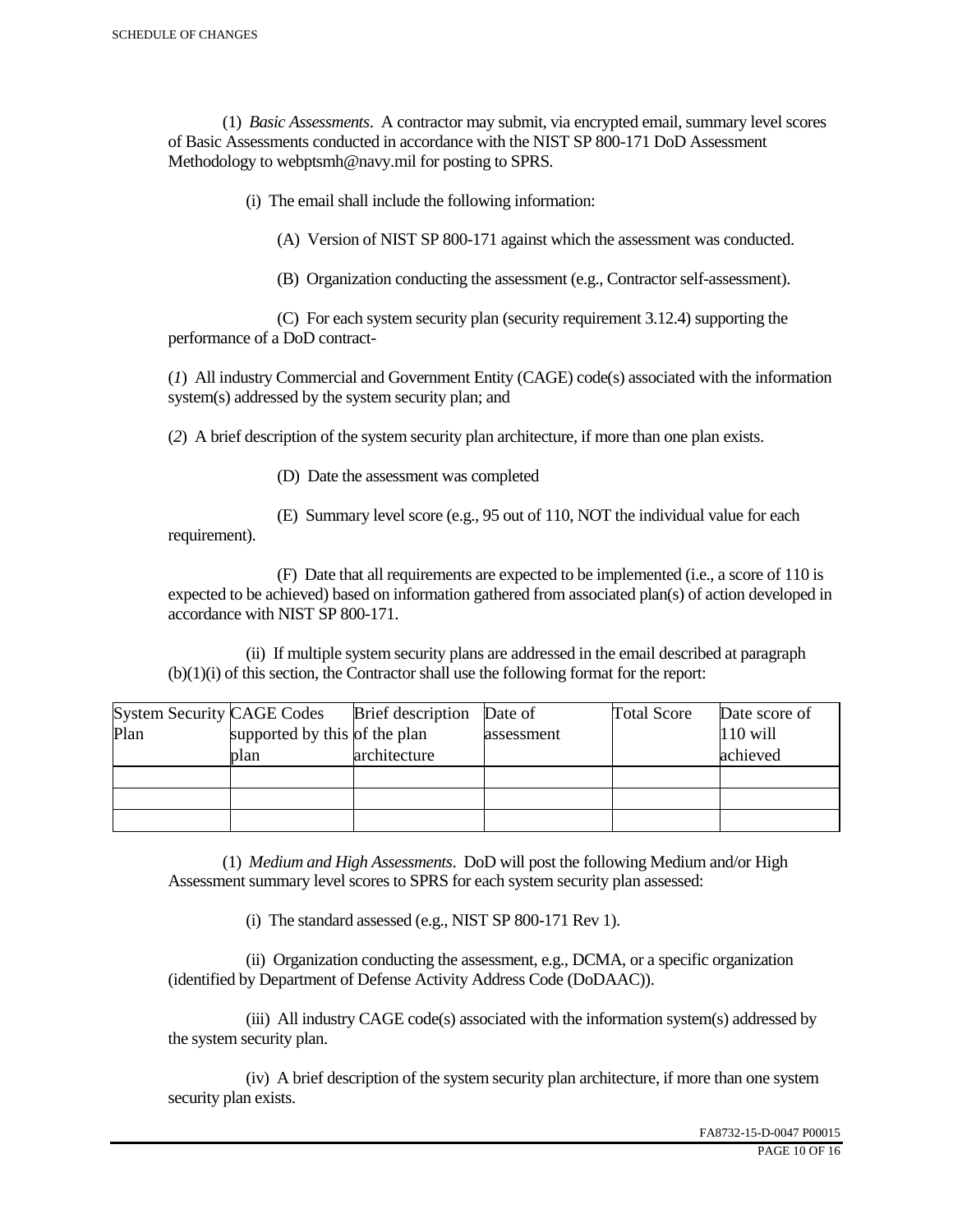(1) *Basic Assessments*. A contractor may submit, via encrypted email, summary level scores of Basic Assessments conducted in accordance with the NIST SP 800-171 DoD Assessment Methodology to webptsmh@navy.mil for posting to SPRS.

(i) The email shall include the following information:

(A) Version of NIST SP 800-171 against which the assessment was conducted.

(B) Organization conducting the assessment (e.g., Contractor self-assessment).

 (C) For each system security plan (security requirement 3.12.4) supporting the performance of a DoD contract-

(*1*) All industry Commercial and Government Entity (CAGE) code(s) associated with the information system(s) addressed by the system security plan; and

(*2*) A brief description of the system security plan architecture, if more than one plan exists.

(D) Date the assessment was completed

requirement).

(E) Summary level score (e.g., 95 out of 110, NOT the individual value for each

 (F) Date that all requirements are expected to be implemented (i.e., a score of 110 is expected to be achieved) based on information gathered from associated plan(s) of action developed in accordance with NIST SP 800-171.

 (ii) If multiple system security plans are addressed in the email described at paragraph (b)(1)(i) of this section, the Contractor shall use the following format for the report:

| <b>System Security CAGE Codes</b> |                               | <b>Brief</b> description | Date of    | <b>Total Score</b> | Date score of |
|-----------------------------------|-------------------------------|--------------------------|------------|--------------------|---------------|
| Plan                              | supported by this of the plan |                          | assessment |                    | $110$ will    |
|                                   | plan                          | architecture             |            |                    | achieved      |
|                                   |                               |                          |            |                    |               |
|                                   |                               |                          |            |                    |               |
|                                   |                               |                          |            |                    |               |

 (1) *Medium and High Assessments*. DoD will post the following Medium and/or High Assessment summary level scores to SPRS for each system security plan assessed:

(i) The standard assessed (e.g., NIST SP 800-171 Rev 1).

 (ii) Organization conducting the assessment, e.g., DCMA, or a specific organization (identified by Department of Defense Activity Address Code (DoDAAC)).

 (iii) All industry CAGE code(s) associated with the information system(s) addressed by the system security plan.

 (iv) A brief description of the system security plan architecture, if more than one system security plan exists.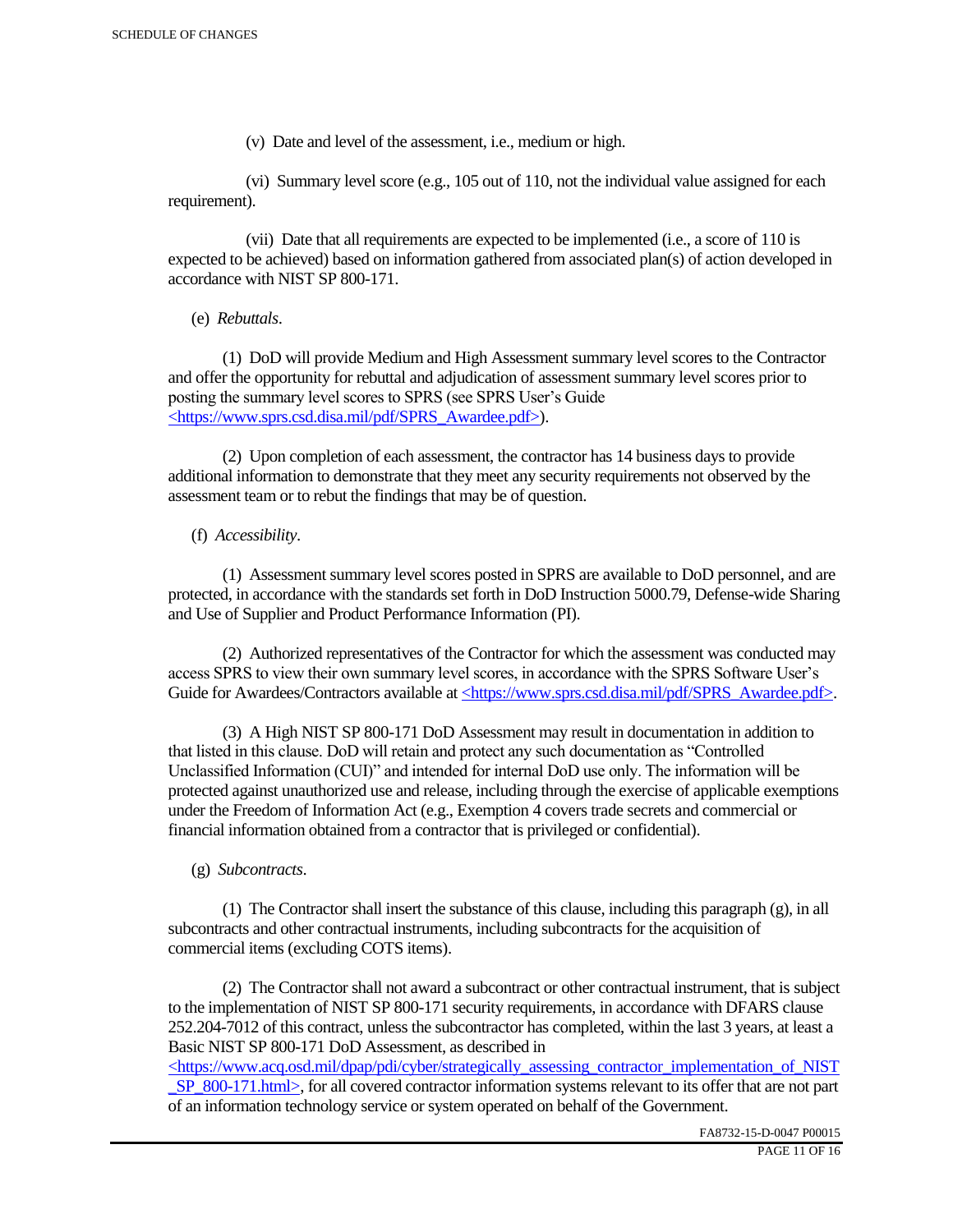(v) Date and level of the assessment, i.e., medium or high.

 (vi) Summary level score (e.g., 105 out of 110, not the individual value assigned for each requirement).

 (vii) Date that all requirements are expected to be implemented (i.e., a score of 110 is expected to be achieved) based on information gathered from associated plan(s) of action developed in accordance with NIST SP 800-171.

(e) *Rebuttals*.

 (1) DoD will provide Medium and High Assessment summary level scores to the Contractor and offer the opportunity for rebuttal and adjudication of assessment summary level scores prior to posting the summary level scores to SPRS (see SPRS User's Guide <https://www.sprs.csd.disa.mil/pdf/SPRS\_Awardee.pdf>).

 (2) Upon completion of each assessment, the contractor has 14 business days to provide additional information to demonstrate that they meet any security requirements not observed by the assessment team or to rebut the findings that may be of question.

## (f) *Accessibility*.

 (1) Assessment summary level scores posted in SPRS are available to DoD personnel, and are protected, in accordance with the standards set forth in DoD Instruction 5000.79, Defense-wide Sharing and Use of Supplier and Product Performance Information (PI).

 (2) Authorized representatives of the Contractor for which the assessment was conducted may access SPRS to view their own summary level scores, in accordance with the SPRS Software User's Guide for Awardees/Contractors available at <https://www.sprs.csd.disa.mil/pdf/SPRS\_Awardee.pdf>.

 (3) A High NIST SP 800-171 DoD Assessment may result in documentation in addition to that listed in this clause. DoD will retain and protect any such documentation as "Controlled Unclassified Information (CUI)" and intended for internal DoD use only. The information will be protected against unauthorized use and release, including through the exercise of applicable exemptions under the Freedom of Information Act (e.g., Exemption 4 covers trade secrets and commercial or financial information obtained from a contractor that is privileged or confidential).

## (g) *Subcontracts*.

(1) The Contractor shall insert the substance of this clause, including this paragraph  $(g)$ , in all subcontracts and other contractual instruments, including subcontracts for the acquisition of commercial items (excluding COTS items).

 (2) The Contractor shall not award a subcontract or other contractual instrument, that is subject to the implementation of NIST SP 800-171 security requirements, in accordance with DFARS clause 252.204-7012 of this contract, unless the subcontractor has completed, within the last 3 years, at least a Basic NIST SP 800-171 DoD Assessment, as described in

 $\langle$ https://www.acq.osd.mil/dpap/pdi/cyber/strategically\_assessing\_contractor\_implementation\_of\_NIST SP\_800-171.html>, for all covered contractor information systems relevant to its offer that are not part of an information technology service or system operated on behalf of the Government.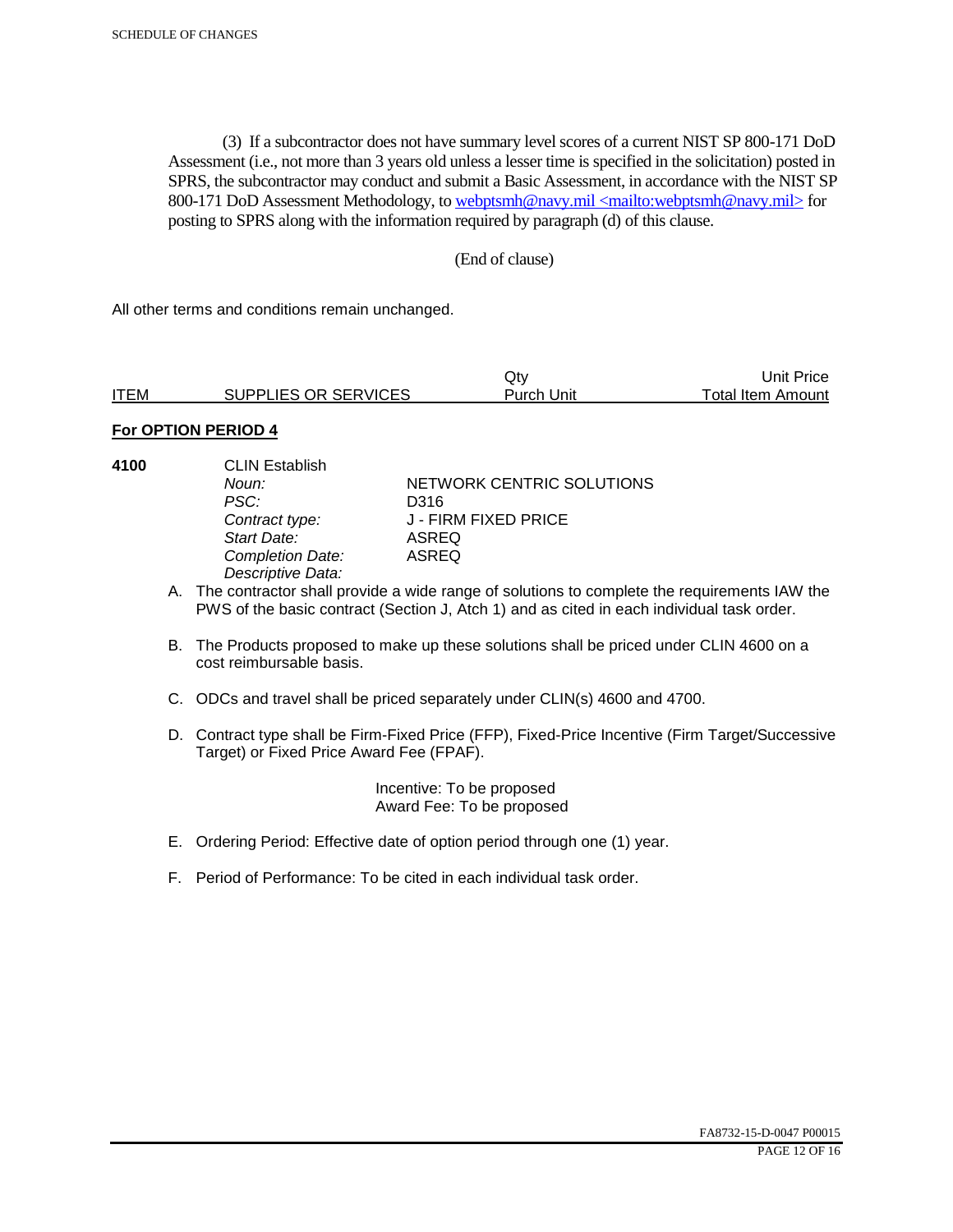(3) If a subcontractor does not have summary level scores of a current NIST SP 800-171 DoD Assessment (i.e., not more than 3 years old unless a lesser time is specified in the solicitation) posted in SPRS, the subcontractor may conduct and submit a Basic Assessment, in accordance with the NIST SP 800-171 DoD Assessment Methodology, to webptsmh@navy.mil <mailto:webptsmh@navy.mil> for posting to SPRS along with the information required by paragraph (d) of this clause.

#### (End of clause)

All other terms and conditions remain unchanged.

|             |                      | Jtv.       | Unit Price l      |
|-------------|----------------------|------------|-------------------|
| <b>ITEM</b> | SUPPLIES OR SERVICES | Purch Unit | Total Item Amount |

#### **For OPTION PERIOD 4**

- 
- **4100** CLIN Establish PSC: D316<br>Contract type: J - FII *Start Date:* ASREQ *Completion Date: Descriptive Data:*

*Noun:* **NETWORK CENTRIC SOLUTIONS** *Contract type:* J - FIRM FIXED PRICE

- A. The contractor shall provide a wide range of solutions to complete the requirements IAW the PWS of the basic contract (Section J, Atch 1) and as cited in each individual task order.
- B. The Products proposed to make up these solutions shall be priced under CLIN 4600 on a cost reimbursable basis.
- C. ODCs and travel shall be priced separately under CLIN(s) 4600 and 4700.
- D. Contract type shall be Firm-Fixed Price (FFP), Fixed-Price Incentive (Firm Target/Successive Target) or Fixed Price Award Fee (FPAF).

 Incentive: To be proposed Award Fee: To be proposed

- E. Ordering Period: Effective date of option period through one (1) year.
- F. Period of Performance: To be cited in each individual task order.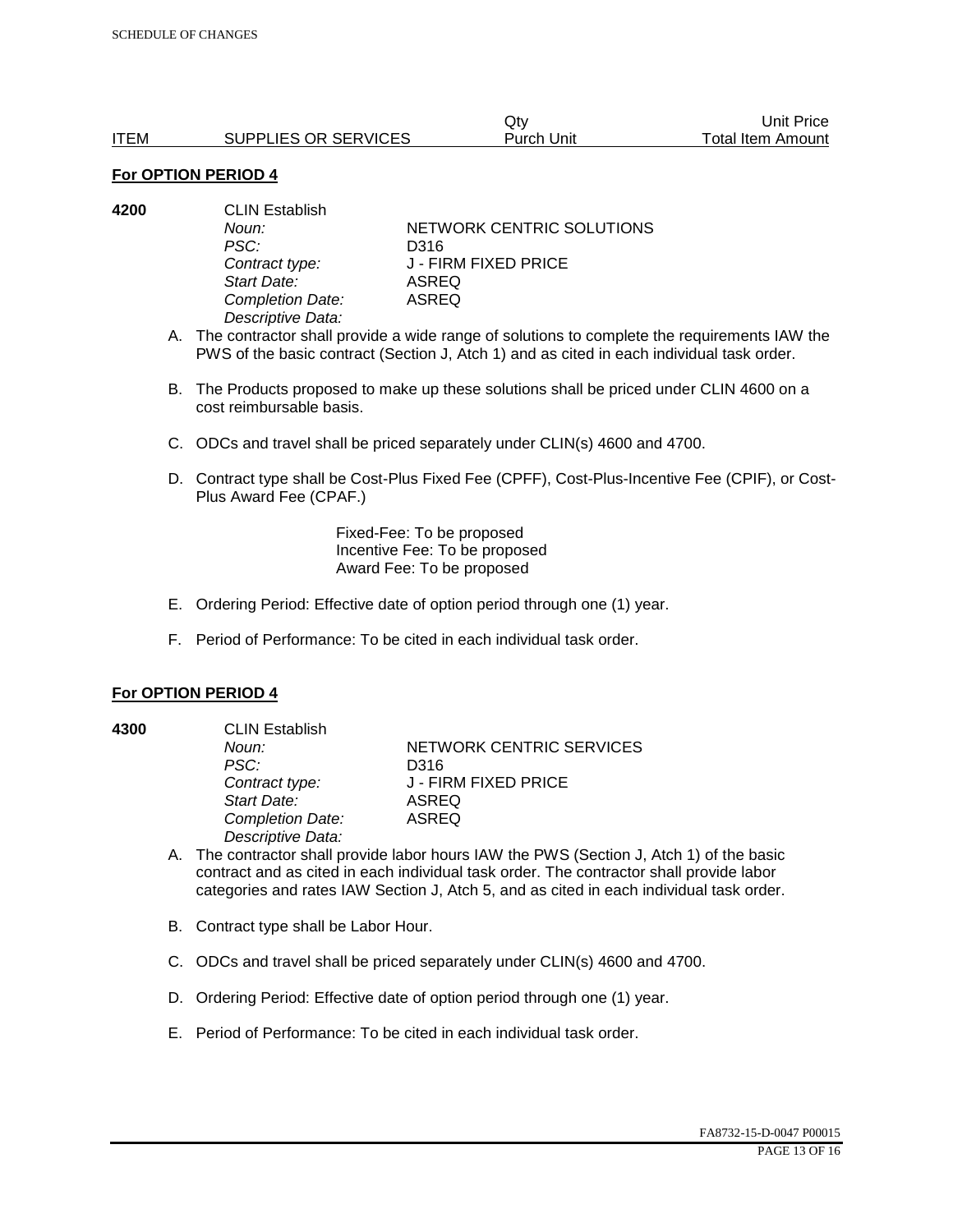|             |                      | Qtv        | Unit Price        |
|-------------|----------------------|------------|-------------------|
| <b>ITEM</b> | SUPPLIES OR SERVICES | Purch Unit | Total Item Amount |

| 4200 | <b>CLIN Establish</b> |                           |  |
|------|-----------------------|---------------------------|--|
|      | Noun:                 | NETWORK CENTRIC SOLUTIONS |  |
|      | PSC:                  | D316                      |  |
|      | Contract type:        | J - FIRM FIXED PRICE      |  |
|      | Start Date:           | ASREQ                     |  |
|      | Completion Date:      | ASREQ                     |  |
|      | Descriptive Data:     |                           |  |

- A. The contractor shall provide a wide range of solutions to complete the requirements IAW the PWS of the basic contract (Section J, Atch 1) and as cited in each individual task order.
- B. The Products proposed to make up these solutions shall be priced under CLIN 4600 on a cost reimbursable basis.
- C. ODCs and travel shall be priced separately under CLIN(s) 4600 and 4700.
- D. Contract type shall be Cost-Plus Fixed Fee (CPFF), Cost-Plus-Incentive Fee (CPIF), or Cost-Plus Award Fee (CPAF.)

Fixed-Fee: To be proposed Incentive Fee: To be proposed Award Fee: To be proposed

- E. Ordering Period: Effective date of option period through one (1) year.
- F. Period of Performance: To be cited in each individual task order.

#### **For OPTION PERIOD 4**

**4300** CLIN Establish *PSC:* D316 *Start Date:* ASREQ *Completion Date:* ASREQ *Descriptive Data:* 

**Noun: NETWORK CENTRIC SERVICES** *Contract type:* J - FIRM FIXED PRICE

- A. The contractor shall provide labor hours IAW the PWS (Section J, Atch 1) of the basic contract and as cited in each individual task order. The contractor shall provide labor categories and rates IAW Section J, Atch 5, and as cited in each individual task order.
- B. Contract type shall be Labor Hour.
- C. ODCs and travel shall be priced separately under CLIN(s) 4600 and 4700.
- D. Ordering Period: Effective date of option period through one (1) year.
- E. Period of Performance: To be cited in each individual task order.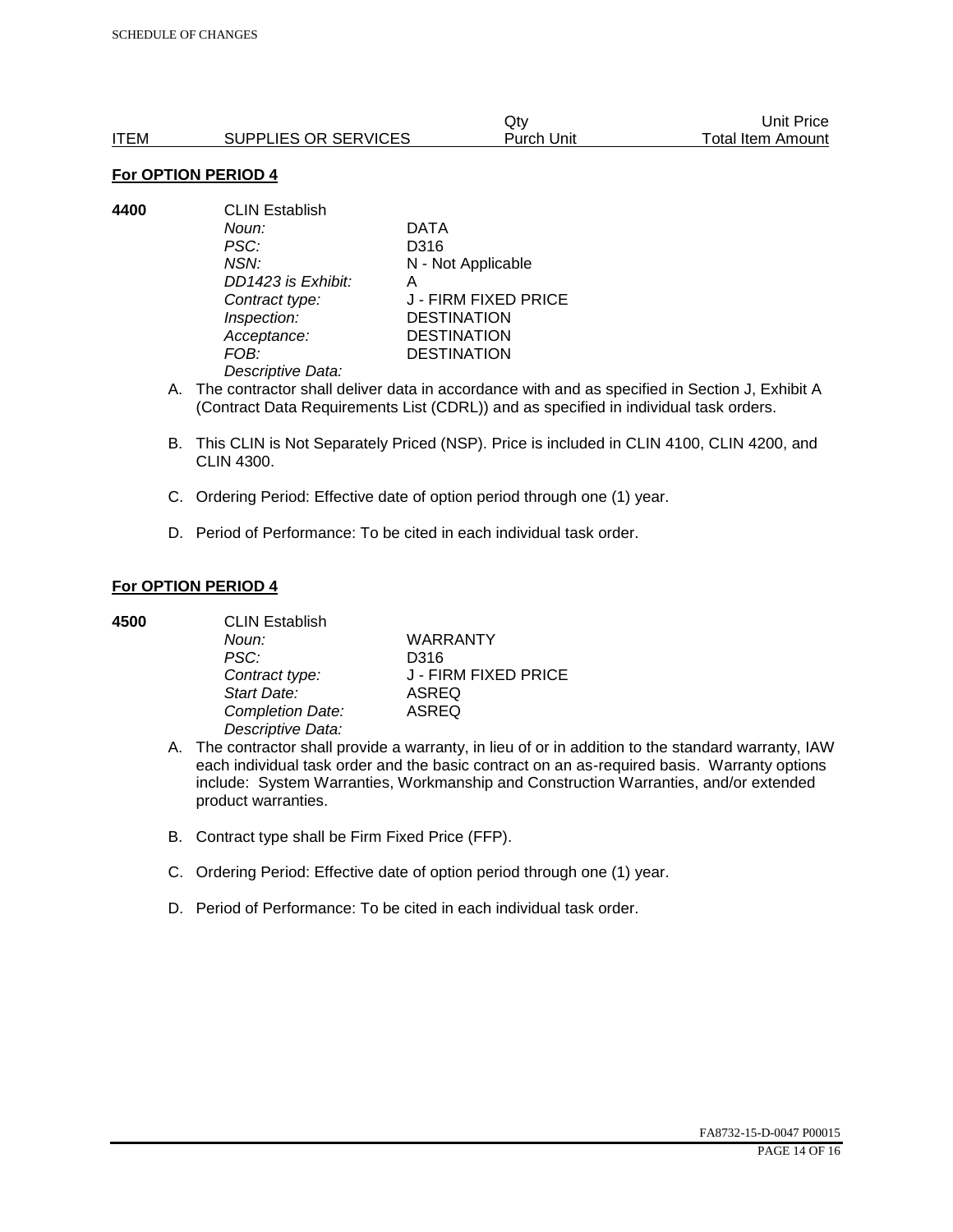|      |                      | Qtv        | Unit Price        |
|------|----------------------|------------|-------------------|
| ITEM | SUPPLIES OR SERVICES | Purch Unit | Total Item Amount |

**4400** CLIN Establish *Noun:* DATA *PSC:* D316 *NSN:* N - Not Applicable *DD1423 is Exhibit:* A *Contract type:* J - FIRM FIXED PRICE *Inspection:* DESTINATION *Acceptance:* DESTINATION *FOB:* DESTINATION *Descriptive Data:* 

- A. The contractor shall deliver data in accordance with and as specified in Section J, Exhibit A (Contract Data Requirements List (CDRL)) and as specified in individual task orders.
- B. This CLIN is Not Separately Priced (NSP). Price is included in CLIN 4100, CLIN 4200, and CLIN 4300.
- C. Ordering Period: Effective date of option period through one (1) year.
- D. Period of Performance: To be cited in each individual task order.

#### **For OPTION PERIOD 4**

| 4500 | <b>CLIN Establish</b> |                      |  |
|------|-----------------------|----------------------|--|
|      | Noun:                 | <b>WARRANTY</b>      |  |
|      | PSC:                  | D316                 |  |
|      | Contract type:        | J - FIRM FIXED PRICE |  |
|      | Start Date:           | <b>ASREQ</b>         |  |
|      | Completion Date:      | <b>ASREQ</b>         |  |
|      | Descriptive Data:     |                      |  |

- A. The contractor shall provide a warranty, in lieu of or in addition to the standard warranty, IAW each individual task order and the basic contract on an as-required basis. Warranty options include: System Warranties, Workmanship and Construction Warranties, and/or extended product warranties.
- B. Contract type shall be Firm Fixed Price (FFP).
- C. Ordering Period: Effective date of option period through one (1) year.
- D. Period of Performance: To be cited in each individual task order.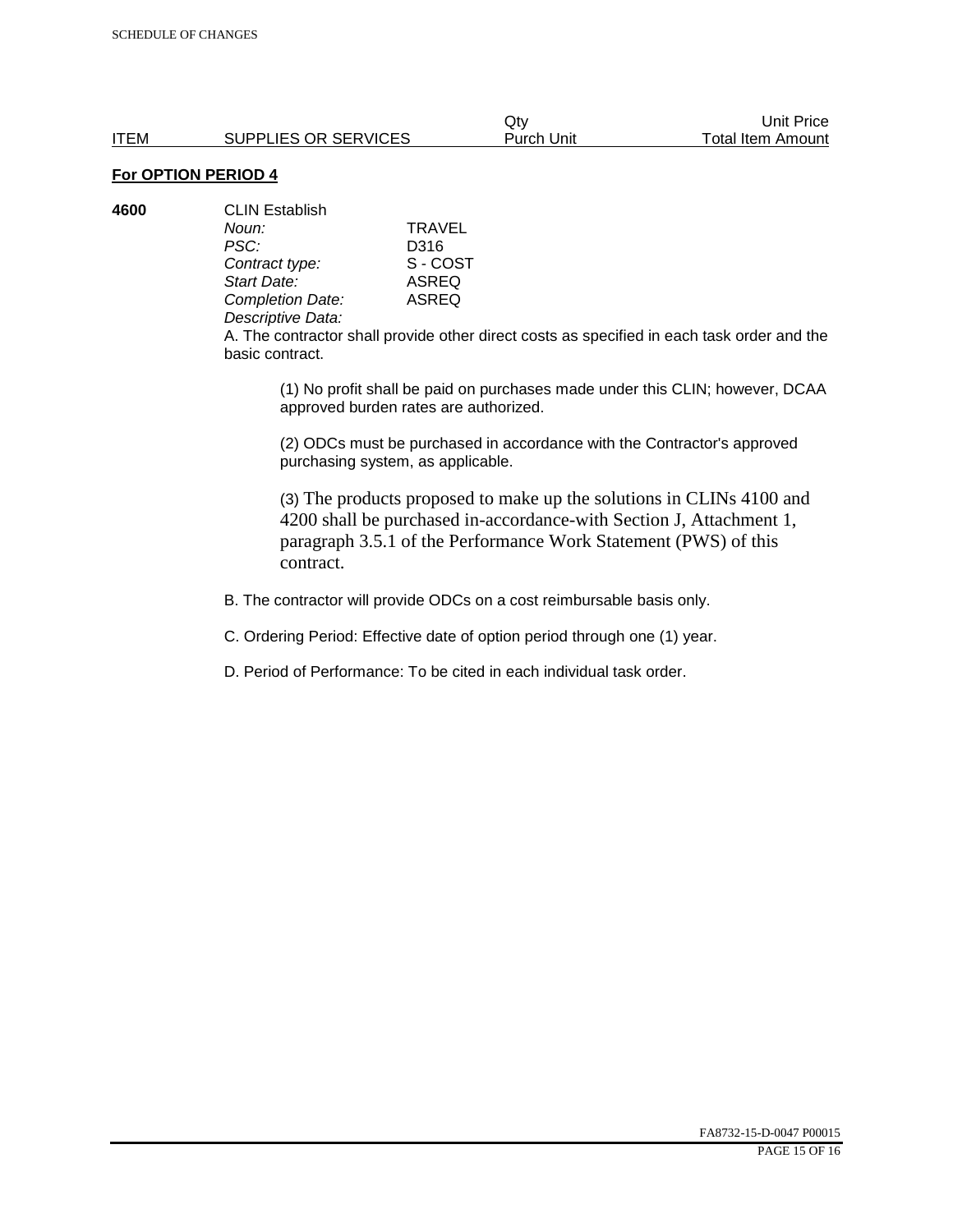|      |                      | Qtv        | Unit Price               |
|------|----------------------|------------|--------------------------|
| ITEM | SUPPLIES OR SERVICES | Purch Unit | <b>Total Item Amount</b> |

| 4600 | <b>CLIN Establish</b> |              |  |
|------|-----------------------|--------------|--|
|      | Noun:                 | TRAVEL       |  |
|      | PSC:                  | D316         |  |
|      | Contract type:        | S - COST     |  |
|      | Start Date:           | ASREQ        |  |
|      | Completion Date:      | <b>ASREQ</b> |  |
|      | Descriptive Data:     |              |  |

A. The contractor shall provide other direct costs as specified in each task order and the basic contract.

(1) No profit shall be paid on purchases made under this CLIN; however, DCAA approved burden rates are authorized.

(2) ODCs must be purchased in accordance with the Contractor's approved purchasing system, as applicable.

(3) The products proposed to make up the solutions in CLINs 4100 and 4200 shall be purchased in-accordance-with Section J, Attachment 1, paragraph 3.5.1 of the Performance Work Statement (PWS) of this contract.

B. The contractor will provide ODCs on a cost reimbursable basis only.

C. Ordering Period: Effective date of option period through one (1) year.

D. Period of Performance: To be cited in each individual task order.